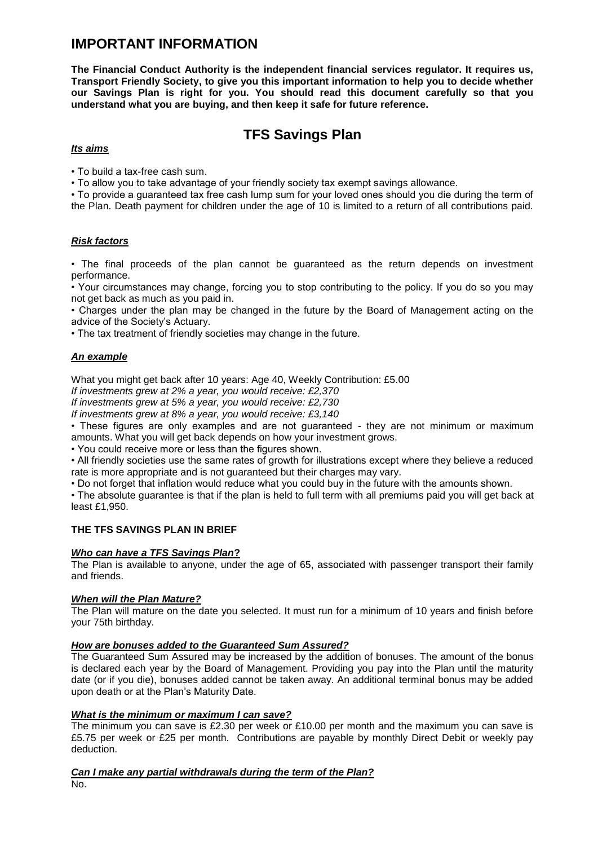# **IMPORTANT INFORMATION**

**The Financial Conduct Authority is the independent financial services regulator. It requires us, Transport Friendly Society, to give you this important information to help you to decide whether our Savings Plan is right for you. You should read this document carefully so that you understand what you are buying, and then keep it safe for future reference.**

# **TFS Savings Plan**

## *Its aims*

• To build a tax-free cash sum.

• To allow you to take advantage of your friendly society tax exempt savings allowance.

• To provide a guaranteed tax free cash lump sum for your loved ones should you die during the term of the Plan. Death payment for children under the age of 10 is limited to a return of all contributions paid.

# *Risk factors*

• The final proceeds of the plan cannot be guaranteed as the return depends on investment performance.

• Your circumstances may change, forcing you to stop contributing to the policy. If you do so you may not get back as much as you paid in.

• Charges under the plan may be changed in the future by the Board of Management acting on the advice of the Society's Actuary.

• The tax treatment of friendly societies may change in the future.

# *An example*

What you might get back after 10 years: Age 40, Weekly Contribution: £5.00

*If investments grew at 2% a year, you would receive: £2,370*

*If investments grew at 5% a year, you would receive: £2,730*

*If investments grew at 8% a year, you would receive: £3,140*

• These figures are only examples and are not guaranteed - they are not minimum or maximum amounts. What you will get back depends on how your investment grows.

• You could receive more or less than the figures shown.

• All friendly societies use the same rates of growth for illustrations except where they believe a reduced rate is more appropriate and is not guaranteed but their charges may vary.

• Do not forget that inflation would reduce what you could buy in the future with the amounts shown.

• The absolute guarantee is that if the plan is held to full term with all premiums paid you will get back at least £1,950.

## **THE TFS SAVINGS PLAN IN BRIEF**

## *Who can have a TFS Savings Plan***?**

The Plan is available to anyone, under the age of 65, associated with passenger transport their family and friends.

## *When will the Plan Mature?*

The Plan will mature on the date you selected. It must run for a minimum of 10 years and finish before your 75th birthday.

## *How are bonuses added to the Guaranteed Sum Assured?*

The Guaranteed Sum Assured may be increased by the addition of bonuses. The amount of the bonus is declared each year by the Board of Management. Providing you pay into the Plan until the maturity date (or if you die), bonuses added cannot be taken away. An additional terminal bonus may be added upon death or at the Plan's Maturity Date.

## *What is the minimum or maximum I can save?*

The minimum you can save is £2.30 per week or £10.00 per month and the maximum you can save is £5.75 per week or £25 per month. Contributions are payable by monthly Direct Debit or weekly pay deduction.

# *Can I make any partial withdrawals during the term of the Plan?*

No.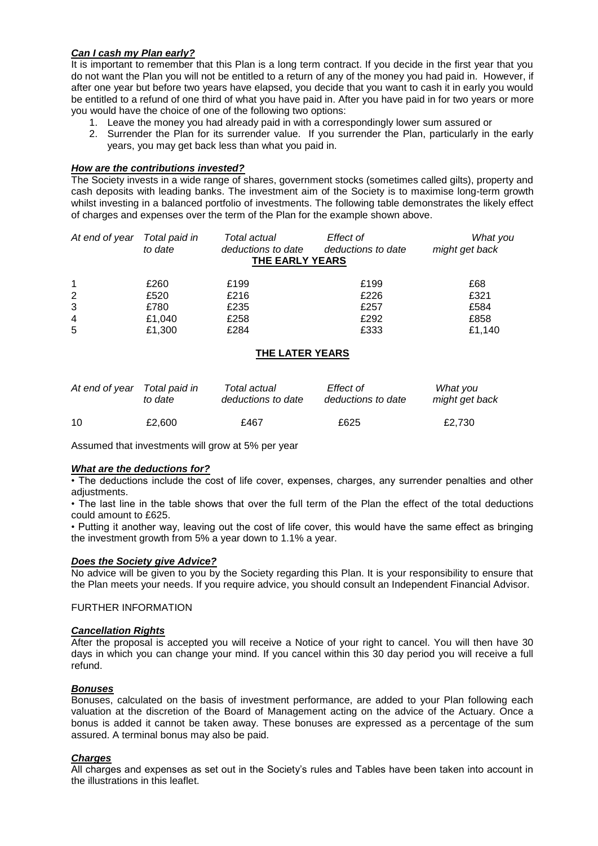## *Can I cash my Plan early?*

It is important to remember that this Plan is a long term contract. If you decide in the first year that you do not want the Plan you will not be entitled to a return of any of the money you had paid in. However, if after one year but before two years have elapsed, you decide that you want to cash it in early you would be entitled to a refund of one third of what you have paid in. After you have paid in for two years or more you would have the choice of one of the following two options:

- 1. Leave the money you had already paid in with a correspondingly lower sum assured or
- 2. Surrender the Plan for its surrender value. If you surrender the Plan, particularly in the early years, you may get back less than what you paid in.

#### *How are the contributions invested?*

The Society invests in a wide range of shares, government stocks (sometimes called gilts), property and cash deposits with leading banks. The investment aim of the Society is to maximise long-term growth whilst investing in a balanced portfolio of investments. The following table demonstrates the likely effect of charges and expenses over the term of the Plan for the example shown above.

| At end of year Total paid in | to date | Total actual<br>deductions to date<br>THE EARLY YEARS | Effect of<br>deductions to date | What you<br>might get back |
|------------------------------|---------|-------------------------------------------------------|---------------------------------|----------------------------|
| $\mathbf{1}$                 | £260    | £199                                                  | £199                            | £68                        |
| 2                            | £520    | £216                                                  | £226                            | £321                       |
| 3                            | £780    | £235                                                  | £257                            | £584                       |
| $\overline{4}$               | £1,040  | £258                                                  | £292                            | £858                       |
| 5                            | £1,300  | £284                                                  | £333                            | £1.140                     |

## **THE LATER YEARS**

| At end of year Total paid in | to date | Total actual<br>deductions to date | Effect of<br>deductions to date | What you<br>might get back |
|------------------------------|---------|------------------------------------|---------------------------------|----------------------------|
| 10                           | £2.600  | £467                               | £625                            | £2.730                     |

Assumed that investments will grow at 5% per year

## *What are the deductions for?*

• The deductions include the cost of life cover, expenses, charges, any surrender penalties and other adiustments.

• The last line in the table shows that over the full term of the Plan the effect of the total deductions could amount to £625.

• Putting it another way, leaving out the cost of life cover, this would have the same effect as bringing the investment growth from 5% a year down to 1.1% a year.

#### *Does the Society give Advice?*

No advice will be given to you by the Society regarding this Plan. It is your responsibility to ensure that the Plan meets your needs. If you require advice, you should consult an Independent Financial Advisor.

#### FURTHER INFORMATION

#### *Cancellation Rights*

After the proposal is accepted you will receive a Notice of your right to cancel. You will then have 30 days in which you can change your mind. If you cancel within this 30 day period you will receive a full refund.

#### *Bonuses*

Bonuses, calculated on the basis of investment performance, are added to your Plan following each valuation at the discretion of the Board of Management acting on the advice of the Actuary. Once a bonus is added it cannot be taken away. These bonuses are expressed as a percentage of the sum assured. A terminal bonus may also be paid.

## *Charges*

All charges and expenses as set out in the Society's rules and Tables have been taken into account in the illustrations in this leaflet.